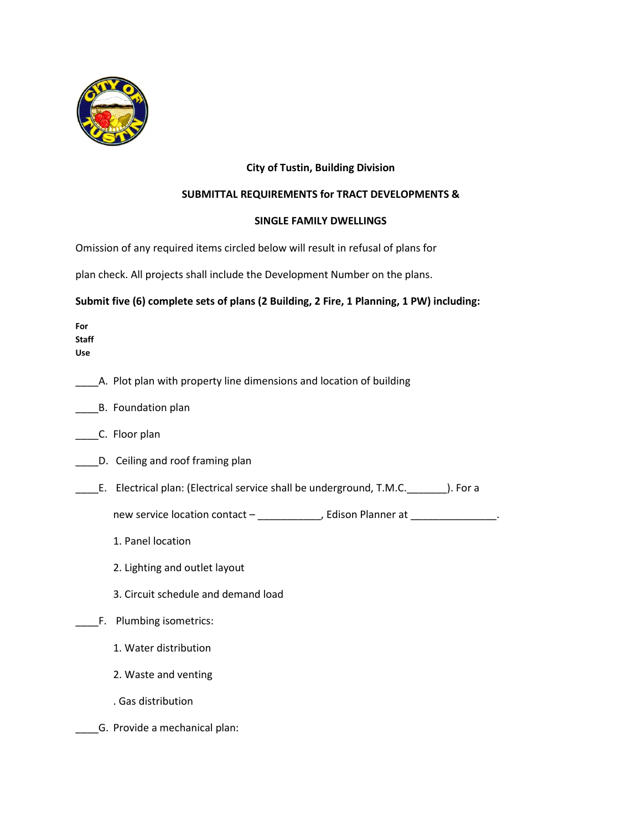

## **City of Tustin, Building Division**

### **SUBMITTAL REQUIREMENTS for TRACT DEVELOPMENTS &**

### **SINGLE FAMILY DWELLINGS**

Omission of any required items circled below will result in refusal of plans for

plan check. All projects shall include the Development Number on the plans.

# **Submit five (6) complete sets of plans (2 Building, 2 Fire, 1 Planning, 1 PW) including:**

| For<br><b>Staff</b><br><b>Use</b> |                                                                                  |
|-----------------------------------|----------------------------------------------------------------------------------|
|                                   | A. Plot plan with property line dimensions and location of building              |
|                                   | B. Foundation plan                                                               |
|                                   | C. Floor plan                                                                    |
|                                   | D. Ceiling and roof framing plan                                                 |
|                                   | E. Electrical plan: (Electrical service shall be underground, T.M.C. ). For a    |
|                                   | new service location contact - _____________, Edison Planner at _______________. |
|                                   | 1. Panel location                                                                |
|                                   | 2. Lighting and outlet layout                                                    |
|                                   | 3. Circuit schedule and demand load                                              |
|                                   | F. Plumbing isometrics:                                                          |
|                                   | 1. Water distribution                                                            |
|                                   | 2. Waste and venting                                                             |
|                                   | . Gas distribution                                                               |
|                                   | G. Provide a mechanical plan:                                                    |